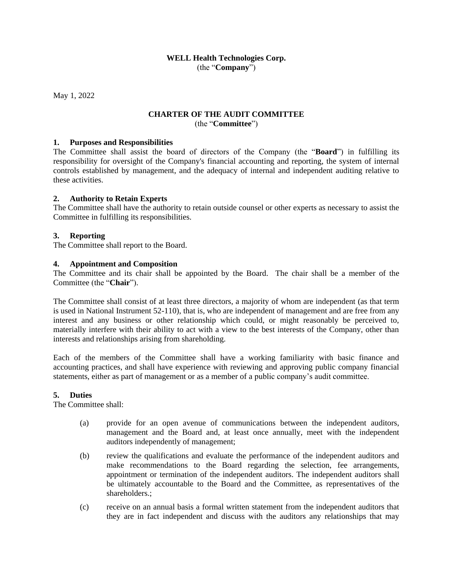## **WELL Health Technologies Corp.** (the "**Company**")

May 1, 2022

# **CHARTER OF THE AUDIT COMMITTEE** (the "**Committee**")

#### **1. Purposes and Responsibilities**

The Committee shall assist the board of directors of the Company (the "**Board**") in fulfilling its responsibility for oversight of the Company's financial accounting and reporting, the system of internal controls established by management, and the adequacy of internal and independent auditing relative to these activities.

#### **2. Authority to Retain Experts**

The Committee shall have the authority to retain outside counsel or other experts as necessary to assist the Committee in fulfilling its responsibilities.

### **3. Reporting**

The Committee shall report to the Board.

#### **4. Appointment and Composition**

The Committee and its chair shall be appointed by the Board. The chair shall be a member of the Committee (the "**Chair**").

The Committee shall consist of at least three directors, a majority of whom are independent (as that term is used in National Instrument 52-110), that is, who are independent of management and are free from any interest and any business or other relationship which could, or might reasonably be perceived to, materially interfere with their ability to act with a view to the best interests of the Company, other than interests and relationships arising from shareholding.

Each of the members of the Committee shall have a working familiarity with basic finance and accounting practices, and shall have experience with reviewing and approving public company financial statements, either as part of management or as a member of a public company's audit committee.

#### **5. Duties**

The Committee shall:

- (a) provide for an open avenue of communications between the independent auditors, management and the Board and, at least once annually, meet with the independent auditors independently of management;
- (b) review the qualifications and evaluate the performance of the independent auditors and make recommendations to the Board regarding the selection, fee arrangements, appointment or termination of the independent auditors. The independent auditors shall be ultimately accountable to the Board and the Committee, as representatives of the shareholders.;
- (c) receive on an annual basis a formal written statement from the independent auditors that they are in fact independent and discuss with the auditors any relationships that may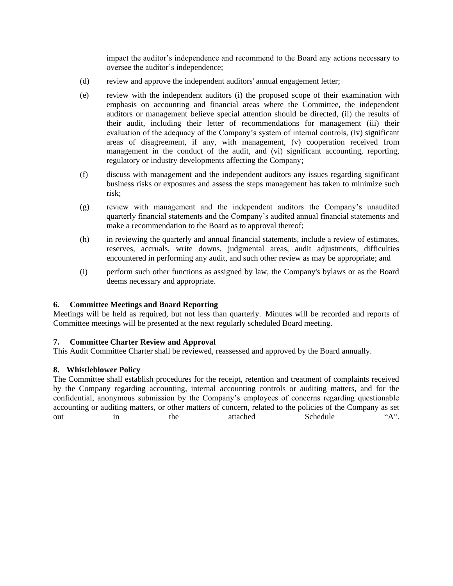impact the auditor's independence and recommend to the Board any actions necessary to oversee the auditor's independence;

- (d) review and approve the independent auditors' annual engagement letter;
- (e) review with the independent auditors (i) the proposed scope of their examination with emphasis on accounting and financial areas where the Committee, the independent auditors or management believe special attention should be directed, (ii) the results of their audit, including their letter of recommendations for management (iii) their evaluation of the adequacy of the Company's system of internal controls, (iv) significant areas of disagreement, if any, with management, (v) cooperation received from management in the conduct of the audit, and (vi) significant accounting, reporting, regulatory or industry developments affecting the Company;
- (f) discuss with management and the independent auditors any issues regarding significant business risks or exposures and assess the steps management has taken to minimize such risk;
- (g) review with management and the independent auditors the Company's unaudited quarterly financial statements and the Company's audited annual financial statements and make a recommendation to the Board as to approval thereof;
- (h) in reviewing the quarterly and annual financial statements, include a review of estimates, reserves, accruals, write downs, judgmental areas, audit adjustments, difficulties encountered in performing any audit, and such other review as may be appropriate; and
- (i) perform such other functions as assigned by law, the Company's bylaws or as the Board deems necessary and appropriate.

### **6. Committee Meetings and Board Reporting**

Meetings will be held as required, but not less than quarterly. Minutes will be recorded and reports of Committee meetings will be presented at the next regularly scheduled Board meeting.

### **7. Committee Charter Review and Approval**

This Audit Committee Charter shall be reviewed, reassessed and approved by the Board annually.

### **8. Whistleblower Policy**

The Committee shall establish procedures for the receipt, retention and treatment of complaints received by the Company regarding accounting, internal accounting controls or auditing matters, and for the confidential, anonymous submission by the Company's employees of concerns regarding questionable accounting or auditing matters, or other matters of concern, related to the policies of the Company as set out in the attached Schedule "A".